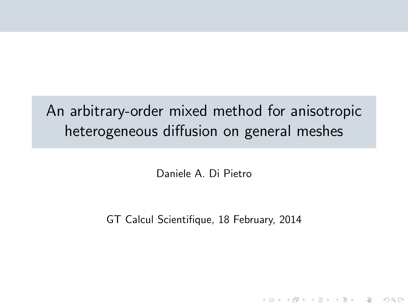# An arbitrary-order mixed method for anisotropic heterogeneous diffusion on general meshes

Daniele A. Di Pietro

GT Calcul Scientifique, 18 February, 2014

**KOD KARD KED KED E VOOR**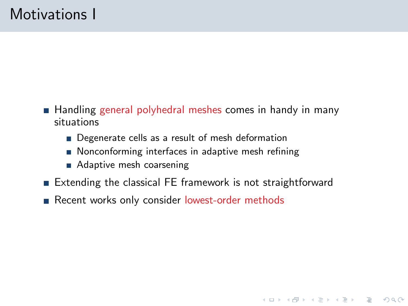# Motivations I

- Handling general polyhedral meshes comes in handy in many situations
	- Degenerate cells as a result of mesh deformation
	- Nonconforming interfaces in adaptive mesh refining
	- Adaptive mesh coarsening
- Extending the classical FE framework is not straightforward

**KOD KARD KED KED E VOOR** 

Recent works only consider lowest-order methods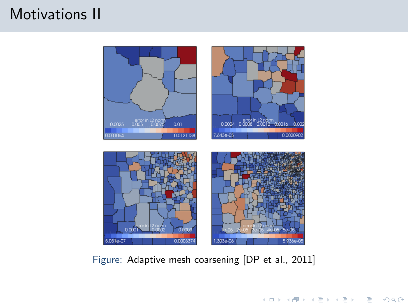# Motivations II



Figure: Adaptive mesh coarsening [DP et al., 2011]

K ロ > K @ > K 등 > K 등 > H 등 …

 $2Q$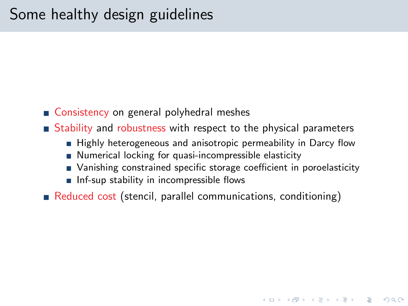- Consistency on general polyhedral meshes
- $\blacksquare$  Stability and robustness with respect to the physical parameters
	- Highly heterogeneous and anisotropic permeability in Darcy flow
	- Numerical locking for quasi-incompressible elasticity
	- Vanishing constrained specific storage coefficient in poroelasticity

**K ロ ▶ K 個 ▶ K 필 ▶ K 필 ▶ - 필 - 10 Q Q Q** 

- $\blacksquare$  Inf-sup stability in incompressible flows
- Reduced cost (stencil, parallel communications, conditioning)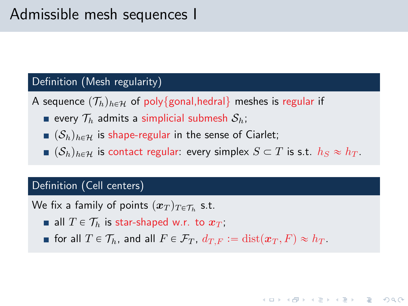### Definition (Mesh regularity)

- A sequence  $(\mathcal{T}_h)_{h \in \mathcal{H}}$  of poly{gonal,hedral} meshes is regular if
	- every  $\mathcal{T}_h$  admits a simplicial submesh  $\mathcal{S}_h$ ;
	- $(\mathcal{S}_h)_{h \in \mathcal{H}}$  is shape-regular in the sense of Ciarlet;
	- $(\mathcal{S}_h)_{h \in \mathcal{H}}$  is contact regular: every simplex  $S \subset T$  is s.t.  $h_S \approx h_T$ .

#### Definition (Cell centers)

We fix a family of points  $(\boldsymbol{x}_T)_{T\in\mathcal{T}_h}$  s.t.

- all  $T \in \mathcal{T}_h$  is star-shaped w.r. to  $x_T$ ;
- for all  $T \in \mathcal{T}_h$ , and all  $F \in \mathcal{F}_T$ ,  $d_{T,F} := \text{dist}(\boldsymbol{x}_T, F) \approx h_T$ .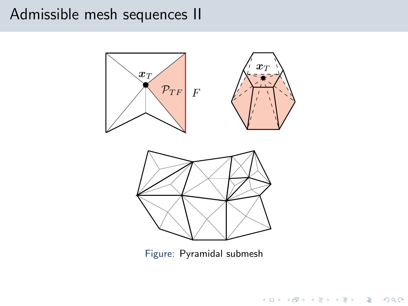# Admissible mesh sequences II



Figure: Pyramidal submesh

K ロ ▶ K (日 ) X (日 ) X (日 ) X (日 ) X (日 ) X (日 ) X (日 ) X (日 ) X (日 )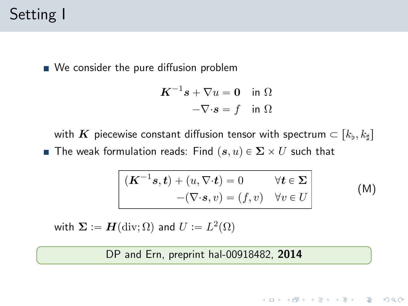# Setting I

We consider the pure diffusion problem

$$
K^{-1}s + \nabla u = 0 \quad \text{in } \Omega
$$

$$
-\nabla \cdot s = f \quad \text{in } \Omega
$$

with  $\boldsymbol{K}$  piecewise constant diffusion tensor with spectrum  $\subset [k_\flat, k_\sharp]$ **The weak formulation reads:** Find  $(\mathbf{s}, u) \in \Sigma \times U$  such that

$$
\begin{vmatrix}\n(K^{-1}s,t) + (u, \nabla \cdot t) = 0 & \forall t \in \Sigma \\
-(\nabla \cdot s, v) = (f, v) & \forall v \in U\n\end{vmatrix}
$$
\n(M)

**KORK ERREST ORA** 

with  $\boldsymbol{\Sigma} \vcentcolon = \boldsymbol{H}(\text{div}; \Omega)$  and  $U \vcentcolon = L^2(\Omega)$ 

DP and Ern, preprint [hal-00918482,](http://hal.archives-ouvertes.fr/hal-00918482) 2014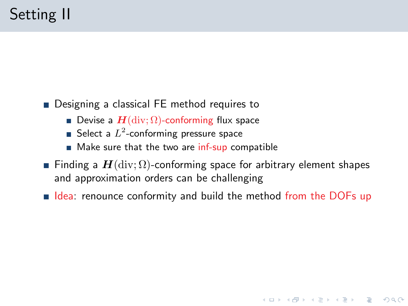- Designing a classical FE method requires to
	- Devise a  $\mathbf{H}$ (div;  $\Omega$ )-conforming flux space
	- Select a  $L^2$ -conforming pressure space
	- Make sure that the two are inf-sup compatible
- Finding a  $H$ (div;  $\Omega$ )-conforming space for arbitrary element shapes and approximation orders can be challenging
- $\blacksquare$  Idea: renounce conformity and build the method from the DOFs up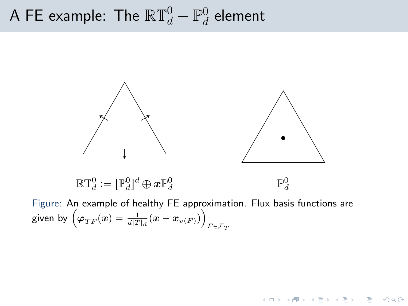#### A FE example: The  $\mathbb{RT}^0_d-\mathbb{P}^0_d$  $_{d}^{\mathrm{0}}$  element



Figure: An example of healthy FE approximation. Flux basis functions are ¯ Figure: An example of healthy FE approximation by  $\Big(\varphi_{TF}(x) = \frac{1}{d|T|_d}(x-x_{v(F)})\Big)_{F \in \mathcal{F}_T}$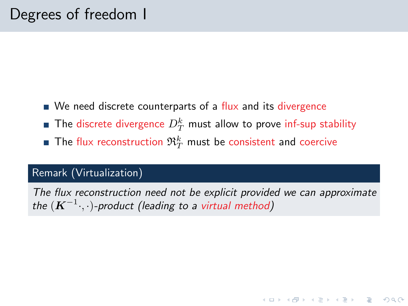- $\blacksquare$  We need discrete counterparts of a flux and its divergence
- The discrete divergence  $D_T^k$  must allow to prove inf-sup stability
- The flux reconstruction  $\mathfrak{R}_T^k$  must be consistent and coercive

### Remark (Virtualization)

The flux reconstruction need not be explicit provided we can approximate the  $(\boldsymbol{K}^{-1} \cdot, \cdot)$ -product (leading to a virtual method)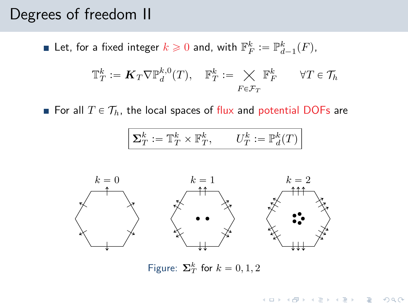# Degrees of freedom II

Let, for a fixed integer  $k \geqslant 0$  and, with  $\mathbb{F}_F^k := \mathbb{P}^k_{d-1}(F)$ ,

$$
\mathbb{T}_T^k := \mathbf{K}_T \nabla \mathbb{P}_d^{k,0}(T), \quad \mathbb{F}_T^k := \underset{F \in \mathcal{F}_T}{\times} \mathbb{F}_F^k \qquad \forall T \in \mathcal{T}_h
$$

For all  $T \in \mathcal{T}_h$ , the local spaces of flux and potential DOFs are

$$
\boxed{\boldsymbol{\Sigma}_T^k := \mathbb{T}_T^k \times \mathbb{F}_T^k, \qquad U_T^k := \mathbb{P}_d^k(T)}
$$



Figure:  $\Sigma_T^k$  for  $k = 0, 1, 2$ 

**KOD KARD KED KED E VOOR**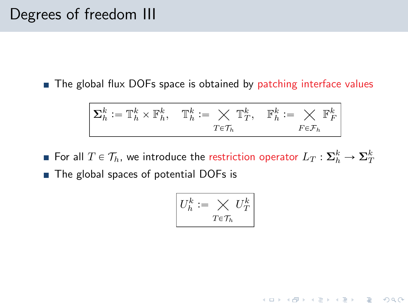# Degrees of freedom III

■ The global flux DOFs space is obtained by patching interface values

$$
\mathbf{\Sigma}_h^k := \mathbb{T}_h^k \times \mathbb{F}_h^k, \quad \mathbb{T}_h^k := \bigtimes_{T \in \mathcal{T}_h} \mathbb{T}_T^k, \quad \mathbb{F}_h^k := \bigtimes_{F \in \mathcal{F}_h} \mathbb{F}_F^k
$$

For all  $T\in\mathcal{T}_h$ , we introduce the restriction operator  $L_T:\mathbf{\Sigma}_h^k\to\mathbf{\Sigma}_T^k$ ■ The global spaces of potential DOFs is

$$
U_h^k \coloneqq \bigtimes_{T \in \mathcal{T}_h} U_T^k
$$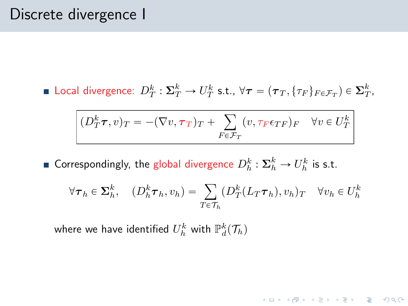# Discrete divergence I

Local divergence:  $D_T^k: \Sigma_T^k \to U_T^k$  s.t.,  $\forall \tau = (\tau_T, \{\tau_F\}_{F \in \mathcal{F}_T}) \in \Sigma_T^k$ ,

$$
(D_T^k \tau, v)_T = -(\nabla v, \tau_T)_T + \sum_{F \in \mathcal{F}_T} (v, \tau_F \epsilon_{TF})_F \quad \forall v \in U_T^k
$$

Correspondingly, the global divergence  $D_h^k: \mathbf{\Sigma}_h^k \to U_h^k$  is s.t.

$$
\forall \boldsymbol{\tau}_h \in \mathbf{\Sigma}_h^k, \quad (D_h^k \boldsymbol{\tau}_h, v_h) = \sum_{T \in \mathcal{T}_h} (D_T^k (L_T \boldsymbol{\tau}_h), v_h)_T \quad \forall v_h \in U_h^k
$$

**KORK ERREST ORA** 

where we have identified  $U_h^k$  with  $\mathbb{P}_d^k(\mathcal{T}_h)$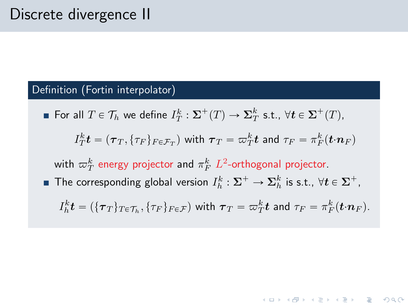#### Definition (Fortin interpolator)

For all  $T \in \mathcal{T}_h$  we define  $I_T^k : \Sigma^+(T) \to \Sigma_T^k$  s.t.,  $\forall t \in \Sigma^+(T)$ ,

$$
I_T^k \bm{t} = (\bm{\tau}_T, \{\tau_F\}_{F \in \mathcal{F}_T}) \text{ with } \bm{\tau}_T = \varpi_T^k \bm{t} \text{ and } \tau_F = \pi_F^k (\bm{t} \cdot \bm{n}_F)
$$

with  $\varpi_T^k$  energy projector and  $\pi_F^k$   $L^2$ -orthogonal projector.

The corresponding global version  $I_h^k: \Sigma^+ \to \Sigma_h^k$  is s.t.,  $\forall t \in \Sigma^+$ ,

$$
I_h^k \mathbf{t} = (\{\boldsymbol{\tau}_T\}_{T \in \mathcal{T}_h}, \{\tau_F\}_{F \in \mathcal{F}}) \text{ with } \boldsymbol{\tau}_T = \boldsymbol{\varpi}_T^k \mathbf{t} \text{ and } \tau_F = \pi_F^k(\mathbf{t} \cdot \mathbf{n}_F).
$$

**KOD KAD KED KED E VOOR**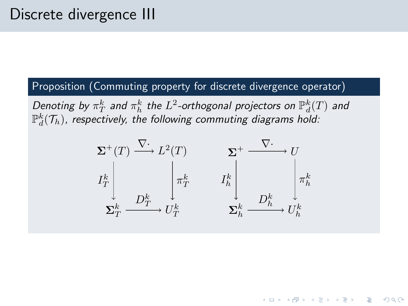### Proposition (Commuting property for discrete divergence operator)

Denoting by  $\pi_T^k$  and  $\pi_h^k$  the  $L^2$ -orthogonal projectors on  $\mathbb{P}_d^k(T)$  and  $\mathbb{P}_d^k(\mathcal{T}_h)$ , respectively, the following commuting diagrams hold:



KEL KARIK KEL KEL KARIK KELI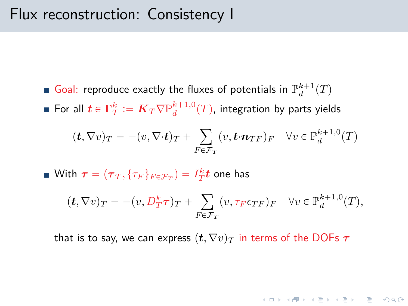# Flux reconstruction: Consistency I

- Goal: reproduce exactly the fluxes of potentials in  $\mathbb{P}_d^{k+1}(T)$
- For all  $\boldsymbol{t}\in \Gamma^k_T\vcentcolon= \boldsymbol{K}_T\nabla \mathbb{P}^{k+1,0}_d(T)$ , integration by parts yields

$$
(\boldsymbol{t}, \nabla v)_T = -(v, \nabla \cdot \boldsymbol{t})_T + \sum_{F \in \mathcal{F}_T} (v, \boldsymbol{t} \cdot \boldsymbol{n}_{TF})_F \quad \forall v \in \mathbb{P}_d^{k+1,0}(T)
$$

With  $\boldsymbol{\tau} = (\boldsymbol{\tau}_T, \{\tau_F\}_{F \in \mathcal{F}_T}) = I_T^k \boldsymbol{t}$  one has

$$
(\boldsymbol{t}, \nabla v)_T = -(v, D_T^k \boldsymbol{\tau})_T + \sum_{F \in \mathcal{F}_T} (v, \tau_F \epsilon_{TF})_F \quad \forall v \in \mathbb{P}_d^{k+1,0}(T),
$$

**K ロ ▶ K 個 ▶ K 필 ▶ K 필 ▶ - 필 - 10 Q Q Q** 

that is to say, we can express  $(t, \nabla v)_T$  in terms of the DOFs  $\tau$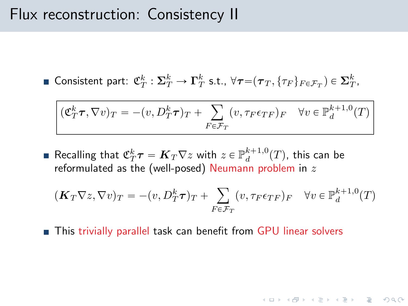# Flux reconstruction: Consistency II

■ Consistent part: 
$$
\mathfrak{C}_T^k : \Sigma_T^k \to \Gamma_T^k
$$
 s.t.,  $\forall \tau = (\tau_T, \{\tau_F\}_{F \in \mathcal{F}_T}) \in \Sigma_T^k$ ,

$$
(\mathfrak{C}_T^k \tau, \nabla v)_T = -(v, D_T^k \tau)_T + \sum_{F \in \mathcal{F}_T} (v, \tau_F \epsilon_{TF})_F \quad \forall v \in \mathbb{P}_d^{k+1,0}(T)
$$

Recalling that  ${\mathfrak C}^k_T{\boldsymbol \tau} = {\boldsymbol K}_T\nabla z$  with  $z\in {\mathbb P}^{k+1,0}_d(T)$ , this can be reformulated as the (well-posed) Neumann problem in  $z$ 

$$
(\mathbf{K}_T \nabla z, \nabla v)_T = -(v, D_T^k \boldsymbol{\tau})_T + \sum_{F \in \mathcal{F}_T} (v, \tau_F \epsilon_{TF})_F \quad \forall v \in \mathbb{P}_d^{k+1,0}(T)
$$

**KORK ERREST ORA** 

■ This trivially parallel task can benefit from GPU linear solvers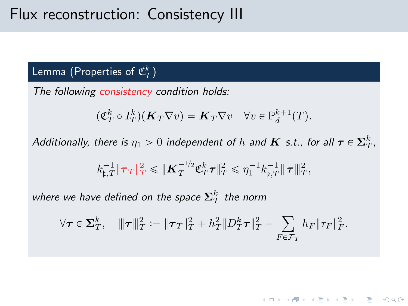# Flux reconstruction: Consistency III

## Lemma (Properties of  $\mathfrak{C}_T^k)$

The following consistency condition holds:

$$
(\mathfrak{C}_T^k \circ I_T^k)(\mathbf{K}_T \nabla v) = \mathbf{K}_T \nabla v \quad \forall v \in \mathbb{P}_d^{k+1}(T).
$$

Additionally, there is  $\eta_1 > 0$  independent of  $h$  and  $\boldsymbol{K}$  s.t., for all  $\boldsymbol{\tau} \in \boldsymbol{\Sigma}^k_T$ ,

$$
k_{\sharp,T}^{-1} \|\pmb{\tau}_T\|_T^2 \leqslant \|\pmb{K}_T^{-1/2} \mathfrak{C}^k_T\pmb{\tau}\|_T^2 \leqslant \eta_1^{-1} k_{\flat,T}^{-1} |\!|\!|\pmb{\tau}|\!|\!|_T^2,
$$

where we have defined on the space  $\mathbf{\Sigma}_T^k$  the norm

$$
\forall \tau \in \Sigma_T^k, \quad \|\tau\|_T^2 := \|\tau_T\|_T^2 + h_T^2 \|D_T^k \tau\|_T^2 + \sum_{F \in \mathcal{F}_T} h_F \|\tau_F\|_F^2.
$$

**KOD KARD KED KED E YOUR**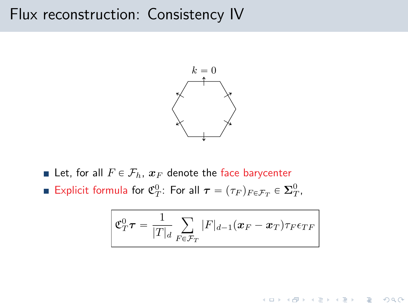# Flux reconstruction: Consistency IV



- Let, for all  $F \in \mathcal{F}_h$ ,  $\mathbf{x}_F$  denote the face barycenter
- Explicit formula for  $\mathfrak{C}_T^0$ : For all  $\boldsymbol{\tau} = (\tau_F)_{F \in \mathcal{F}_T} \in \boldsymbol{\Sigma}_T^0$ ,

$$
\mathcal{E}_T^0 \boldsymbol{\tau} = \frac{1}{|T|_d} \sum_{F \in \mathcal{F}_T} |F|_{d-1} (\boldsymbol{x}_F - \boldsymbol{x}_T) \tau_F \epsilon_{TF}
$$

**KOD KARD KED KED E YOUR**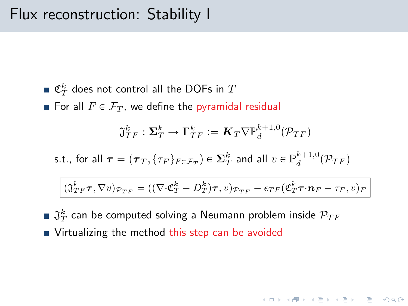- $\mathfrak{C}_T^k$  does not control all the DOFs in  $T$
- For all  $F \in \mathcal{F}_T$ , we define the pyramidal residual

$$
\mathfrak{J}_{TF}^k:\mathbf{\Sigma}_T^k\to \mathbf{\Gamma}_{TF}^k\coloneqq \boldsymbol{K}_T\nabla \mathbb{P}_d^{k+1,0}(\mathcal{P}_{TF})
$$

s.t., for all 
$$
\tau = (\tau_T, \{\tau_F\}_{F \in \mathcal{F}_T}) \in \Sigma_T^k
$$
 and all  $v \in \mathbb{P}_d^{k+1,0}(\mathcal{P}_{TF})$ 

$$
(\mathfrak{J}_{TF}^k \boldsymbol{\tau}, \nabla v)_{\mathcal{P}_{TF}} = ((\nabla \cdot \mathfrak{C}_T^k - D_T^k) \boldsymbol{\tau}, v)_{\mathcal{P}_{TF}} - \epsilon_{TF} (\mathfrak{C}_T^k \boldsymbol{\tau} \cdot \boldsymbol{n}_F - \tau_F, v)_F
$$

**KORK ERREST ORA** 

 $\mathfrak{J}^k_T$  can be computed solving a Neumann problem inside  $\mathcal{P}_{TF}$ **Virtualizing the method this step can be avoided**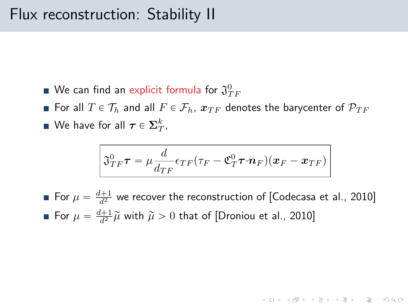- We can find an explicit formula for  $\mathfrak{J}^0_{TF}$
- For all  $T \in \mathcal{T}_h$  and all  $F \in \mathcal{F}_h$ ,  $\boldsymbol{x}_{TF}$  denotes the barycenter of  $\mathcal{P}_{TF}$ We have for all  $\boldsymbol{\tau} \in \boldsymbol{\Sigma}_T^k,$

$$
\mathfrak{J}_{TF}^0\boldsymbol{\tau}=\mu\frac{d}{d_{TF}}\epsilon_{TF}(\tau_F-\mathfrak{C}^0_T\boldsymbol{\tau}\cdot\boldsymbol{n}_F)(\boldsymbol{x}_F-\boldsymbol{x}_{TF})
$$

For  $\mu = \frac{d+1}{d^2}$  we recover the reconstruction of [\[Codecasa et al., 2010\]](#page-37-0) For  $\mu = \frac{d+1}{d^2} \widetilde{\mu}$  with  $\widetilde{\mu} > 0$  that of [\[Droniou et al., 2010\]](#page-37-1)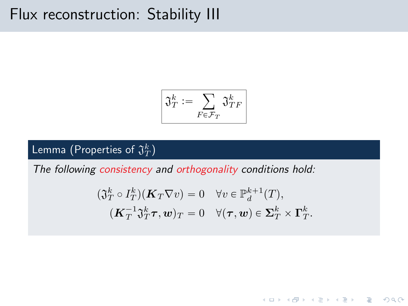# Flux reconstruction: Stability III

$$
\boxed{\mathfrak{J}^k_T \coloneqq \sum_{F \in \mathcal{F}_T} \mathfrak{J}^k_{TF}}
$$

## Lemma (Properties of  $\mathfrak{J}^k_T)$

The following consistency and orthogonality conditions hold:

$$
\begin{aligned} (\mathfrak{J}_T^k \circ I_T^k)(\mathbf{K}_T \nabla v) &= 0 \quad \forall v \in \mathbb{P}_d^{k+1}(T), \\ (\mathbf{K}_T^{-1} \mathfrak{J}_T^k \boldsymbol{\tau}, \boldsymbol{w})_T &= 0 \quad \forall (\boldsymbol{\tau}, \boldsymbol{w}) \in \mathbf{\Sigma}_T^k \times \boldsymbol{\Gamma}_T^k. \end{aligned}
$$

K ロ ▶ K @ ▶ K 할 ▶ K 할 ▶ ... 할 ... 9 Q Q\*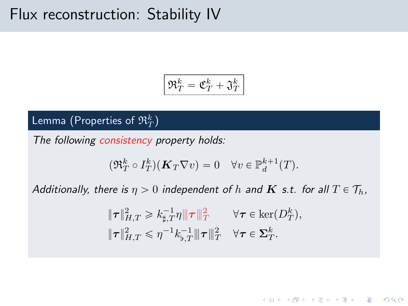# Flux reconstruction: Stability IV

$$
\left|\mathfrak{R}_T^k=\mathfrak{C}_T^k+\mathfrak{J}_T^k\right|
$$

## Lemma (Properties of  $\mathfrak{R}_T^k)$

The following consistency property holds:

$$
(\mathfrak{R}_T^k \circ I_T^k)(\mathbf{K}_T \nabla v) = 0 \quad \forall v \in \mathbb{P}_d^{k+1}(T).
$$

Additionally, there is  $\eta > 0$  independent of h and **K** s.t. for all  $T \in \mathcal{T}_h$ ,

$$
\|\tau\|_{H,T}^2 \geq k_{\sharp,T}^{-1}\eta \|\tau\|_{T}^2 \qquad \forall \tau \in \text{ker}(D_T^k),
$$
  

$$
\|\tau\|_{H,T}^2 \leq \eta^{-1}k_{\flat,T}^{-1}\|\tau\|_{T}^2 \quad \forall \tau \in \Sigma_T^k.
$$

**KOD KARD KED KED E YOUR**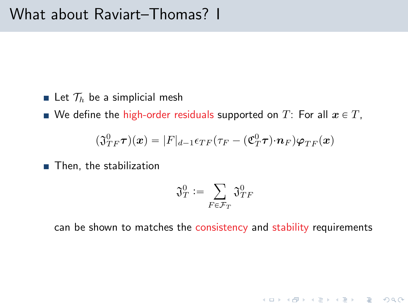- Exect  $\mathcal{T}_h$  be a simplicial mesh
- We define the high-order residuals supported on T: For all  $x \in T$ ,

$$
(\mathfrak{J}_{TF}^0\boldsymbol{\tau})(\boldsymbol{x})=|F|_{d-1}\epsilon_{TF}(\tau_F-(\mathfrak{C}_T^0\boldsymbol{\tau})\cdot\boldsymbol{n}_F)\boldsymbol{\varphi}_{TF}(\boldsymbol{x})
$$

■ Then, the stabilization

$$
\mathfrak{J}^0_T \mathrel{\mathop:}= \sum_{F \in \mathcal{F}_T} \mathfrak{J}^0_{TF}
$$

can be shown to matches the consistency and stability requirements

K ロ > K @ > K 할 > K 할 > 1 할 > 9 Q Q\*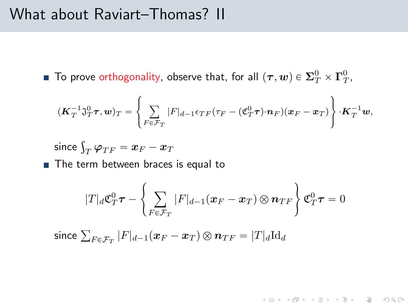## What about Raviart–Thomas? II

To prove orthogonality, observe that, for all  $(\bm{\tau},\bm{w})\in \mathbf{\Sigma}^0_T\times \bm{\Gamma}^0_T,$ 

$$
(\boldsymbol{K}_T^{-1}\mathfrak{J}_T^0\boldsymbol{\tau},\boldsymbol{w})_T=\left\{\sum_{F\in\mathcal{F}_T}|F|_{d-1}\epsilon_{TF}(\tau_F-(\mathfrak{C}_T^0\boldsymbol{\tau})\cdot\boldsymbol{n}_F)(\boldsymbol{x}_F-\boldsymbol{x}_T)\right\}\cdot\boldsymbol{K}_T^{-1}\boldsymbol{w},
$$

since  $\int_T \varphi_{TF} = \bm{x}_F - \bm{x}_T$ 

The term between braces is equal to

$$
|T|_d \mathfrak{C}^0_T \boldsymbol{\tau} - \left\{ \sum_{F \in \mathcal{F}_T} |F|_{d-1} (\boldsymbol{x}_F - \boldsymbol{x}_T) \otimes \boldsymbol{n}_{TF} \right\} \mathfrak{C}^0_T \boldsymbol{\tau} = 0
$$

**KORK ERREST ORA** 

since  $\sum_{F\in \mathcal{F}_T}|F|_{d-1}(\boldsymbol{x}_F-\boldsymbol{x}_T)\otimes \boldsymbol{n}_{TF}=|T|_d\text{Id}_d$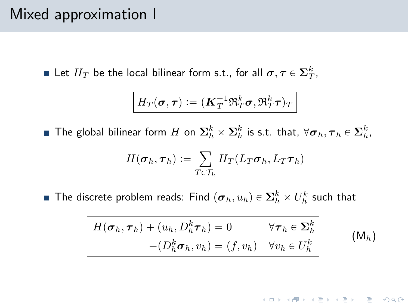# Mixed approximation I

Let  $H_T$  be the local bilinear form s.t., for all  $\boldsymbol{\sigma}, \boldsymbol{\tau} \in \mathbf{\Sigma}_T^k,$ 

$$
H_T(\pmb{\sigma},\pmb{\tau}) \coloneqq (\pmb{K}_T^{-1}\mathfrak{R}_T^k\pmb{\sigma},\mathfrak{R}_T^k\pmb{\tau})_T
$$

The global bilinear form  $H$  on  $\mathbf{\Sigma}^k_h\times\mathbf{\Sigma}^k_h$  is s.t. that,  $\forall \bm{\sigma}_h, \bm{\tau}_h\in\mathbf{\Sigma}^k_h$ ,

$$
H(\boldsymbol{\sigma}_h, \boldsymbol{\tau}_h) \coloneqq \sum_{T \in \mathcal{T}_h} H_T(L_T \boldsymbol{\sigma}_h, L_T \boldsymbol{\tau}_h)
$$

The discrete problem reads: Find  $(\bm{\sigma}_h, u_h) \in \mathbf{\Sigma}_h^k \times U_h^k$  such that

<span id="page-25-0"></span>
$$
H(\boldsymbol{\sigma}_h, \boldsymbol{\tau}_h) + (u_h, D_h^k \boldsymbol{\tau}_h) = 0 \qquad \forall \boldsymbol{\tau}_h \in \boldsymbol{\Sigma}_h^k
$$
  

$$
-(D_h^k \boldsymbol{\sigma}_h, v_h) = (f, v_h) \quad \forall v_h \in U_h^k
$$
 (M<sub>h</sub>)

K ロ ▶ K @ ▶ K 할 ▶ K 할 ▶ ... 할 ... 9 Q Q\*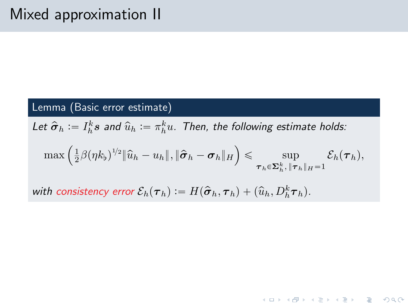### Lemma (Basic error estimate)

Let  $\hat{\bm{\sigma}}_h := I_h^k {\bm s}$  and  $\widehat{u}_h := \pi_h^k u$ . Then, the following estimate holds:

$$
\max\left(\tfrac{1}{2}\beta(\eta k_\flat)^{1/2}\|\widehat{u}_h-u_h\|,\|\widehat{\boldsymbol{\sigma}}_h-\boldsymbol{\sigma}_h\|_H\right)\leqslant \sup_{\boldsymbol{\tau}_h\in\mathbf{\Sigma}_h^k,\|\boldsymbol{\tau}_h\|_H=1}\mathcal{E}_h(\boldsymbol{\tau}_h),
$$

**KORK ERREST ORA** 

with consistency error  $\mathcal{E}_h(\boldsymbol{\tau}_h) := H(\hat{\boldsymbol{\sigma}}_h, \boldsymbol{\tau}_h) + (\widehat{u}_h, D_h^k \boldsymbol{\tau}_h)$ .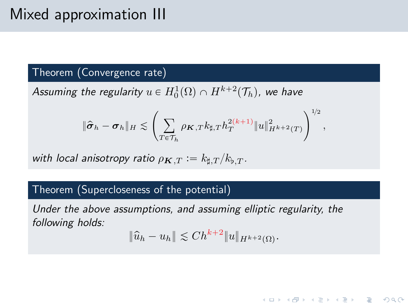# Mixed approximation III

#### Theorem (Convergence rate)

Assuming the regularity  $u \in H^1_0(\Omega) \cap H^{k+2}(\mathcal{T}_h)$ , we have

$$
\|\hat{\pmb\sigma}_h-\pmb\sigma_h\|_H\lesssim \left(\sum_{T\in\mathcal{T}_h}\rho_{\pmb K,T}k_{\sharp,T}h_T^{2(k+1)}\|u\|_{H^{k+2}(T)}^2\right)^{1\!/2},
$$

with local anisotropy ratio  $\rho_{\mathbf{K},T} := k_{\sharp,T}/k_{\flat,T}$ .

#### Theorem (Supercloseness of the potential)

Under the above assumptions, and assuming elliptic regularity, the following holds:

$$
\|\widehat{u}_h - u_h\| \lesssim Ch^{k+2} \|u\|_{H^{k+2}(\Omega)}.
$$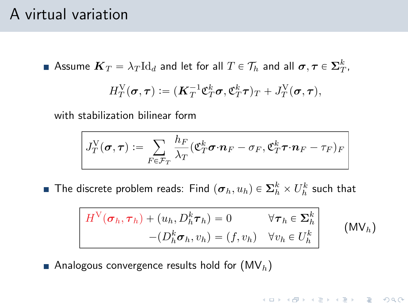# A virtual variation

Assume  $\bm{K}_T=\lambda_T \mathrm{Id}_d$  and let for all  $T\in\mathcal{T}_h$  and all  $\bm{\sigma},\bm{\tau}\in \bm{\Sigma}^k_T,$ 

$$
H_T^{\mathrm{V}}(\boldsymbol{\sigma},\boldsymbol{\tau}) \vcentcolon= (\boldsymbol{K}_T^{-1} \boldsymbol{\mathfrak{C}}_T^k \boldsymbol{\sigma}, \boldsymbol{\mathfrak{C}}_T^k \boldsymbol{\tau})_T + J_T^{\mathrm{V}}(\boldsymbol{\sigma},\boldsymbol{\tau}),
$$

with stabilization bilinear form

$$
J_T^{\mathrm{V}}(\pmb{\sigma},\pmb{\tau}) := \sum_{F \in \mathcal{F}_T} \frac{h_F}{\lambda_T} (\mathfrak{C}_T^k \pmb{\sigma} \cdot \pmb{n}_F - \sigma_F, \mathfrak{C}_T^k \pmb{\tau} \cdot \pmb{n}_F - \tau_F)_F
$$

The discrete problem reads: Find  $(\bm{\sigma}_h, u_h) \in \mathbf{\Sigma}_h^k \times U_h^k$  such that

<span id="page-28-0"></span>
$$
H^{\mathcal{V}}(\sigma_h, \tau_h) + (u_h, D_h^k \tau_h) = 0 \qquad \forall \tau_h \in \Sigma_h^k
$$
  
 
$$
-(D_h^k \sigma_h, v_h) = (f, v_h) \quad \forall v_h \in U_h^k
$$
 (MV<sub>h</sub>)

**KORK ERREST ORA** 

Analogous convergence results hold for  $(MV_h)$  $(MV_h)$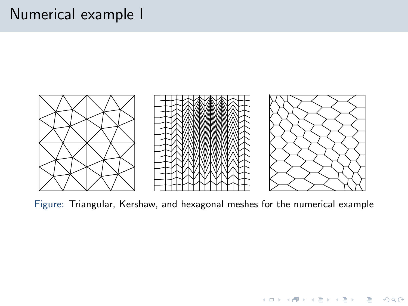# Numerical example I



Figure: Triangular, Kershaw, and hexagonal meshes for the numerical example

K ロンス 御 > ス 할 > ス 할 > ... 할

 $OQ$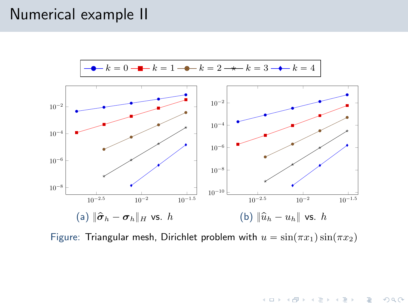# Numerical example II



Figure: Triangular mesh, Dirichlet problem with  $u = \sin(\pi x_1)\sin(\pi x_2)$ 

<span id="page-30-0"></span>K ロ > K @ > K 할 > K 할 > → 할 → 9 Q @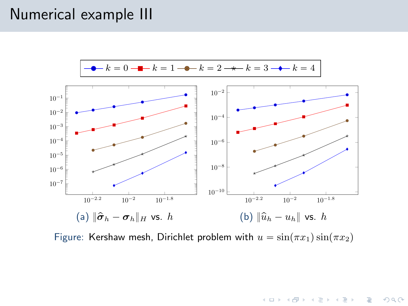# Numerical example III



Figure: Kershaw mesh, Dirichlet problem with  $u = \sin(\pi x_1)\sin(\pi x_2)$ 

K ロ > K @ > K 할 > K 할 > 1 할 : ⊙ Q Q\*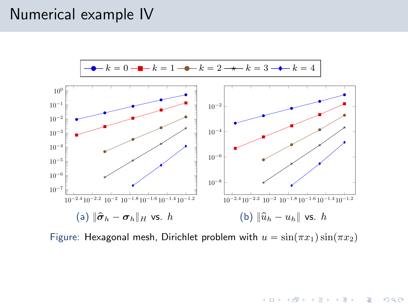# Numerical example IV



Figure: Hexagonal mesh, Dirichlet problem with  $u = sin(\pi x_1)sin(\pi x_2)$ 

K ロ ▶ K @ ▶ K 할 ▶ K 할 ▶ ... 할 ... 9 Q Q\*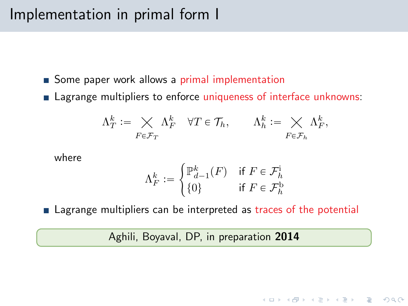# Implementation in primal form I

- Some paper work allows a primal implementation
- **Example 2** Lagrange multipliers to enforce uniqueness of interface unknowns:

$$
\Lambda_T^k := \bigtimes_{F \in \mathcal{F}_T} \Lambda_F^k \quad \forall T \in \mathcal{T}_h, \qquad \Lambda_h^k := \bigtimes_{F \in \mathcal{F}_h} \Lambda_F^k,
$$

where

$$
\Lambda_F^k := \begin{cases} \mathbb{P}^k_{d-1}(F) & \text{if } F \in \mathcal{F}^1_h \\ \{0\} & \text{if } F \in \mathcal{F}^k_h \end{cases}
$$

■ Lagrange multipliers can be interpreted as traces of the potential

Aghili, Boyaval, DP, in preparation 2014

**KOD KARD KED KED E VOOR**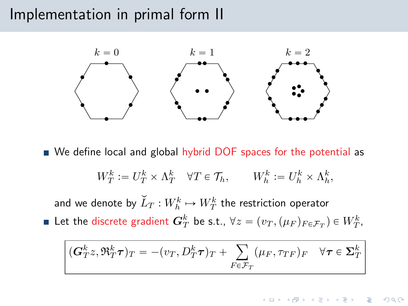## Implementation in primal form II



We define local and global hybrid DOF spaces for the potential as

$$
W_T^k := U_T^k \times \Lambda_T^k \quad \forall T \in \mathcal{T}_h, \qquad W_h^k := U_h^k \times \Lambda_h^k,
$$

and we denote by  $\widecheck{L}_T : W_h^k \mapsto W_T^k$  the restriction operator Let the discrete gradient  $\bm{G}_T^k$  be s.t.,  $\forall z = (v_T, (\mu_F)_{F \in \mathcal{F}_T}) \in W_T^k$ ,

$$
(\boldsymbol{G}_{T}^{k}z,\mathfrak{R}_{T}^{k}\boldsymbol{\tau})_{T} = -(v_{T},D_{T}^{k}\boldsymbol{\tau})_{T} + \sum_{F \in \mathcal{F}_{T}} (\mu_{F},\tau_{TF})_{F} \quad \forall \boldsymbol{\tau} \in \Sigma_{T}^{k}
$$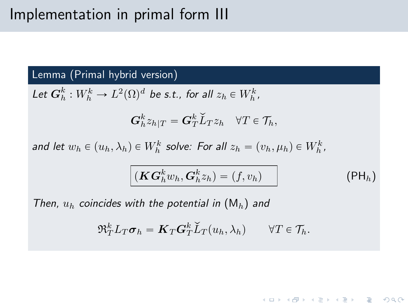# Implementation in primal form III

Lemma (Primal hybrid version)

Let  $\mathbf{G}_h^k : W_h^k \to L^2(\Omega)^d$  be s.t., for all  $z_h \in W_h^k$ ,

$$
\bm G_h^k z_{h|T} = \bm G_T^k \widecheck{L}_T z_h \quad \forall T \in \mathcal{T}_h,
$$

and let  $w_h \in (u_h, \lambda_h) \in W_h^k$  solve: For all  $z_h = (v_h, \mu_h) \in W_h^k$ ,

<span id="page-35-0"></span>
$$
(\boldsymbol{KG}_h^k w_h, \boldsymbol{G}_h^k z_h) = (f, v_h)
$$
 (PH<sub>h</sub>)

**KORK ERREST ORA** 

Then,  $u_h$  coincides with the potential in  $(M_h)$  $(M_h)$  and

$$
\mathfrak{R}_T^k L_T \boldsymbol{\sigma}_h = \boldsymbol{K}_T \boldsymbol{G}_T^k \widecheck{L}_T(u_h, \lambda_h) \qquad \forall T \in \mathcal{T}_h.
$$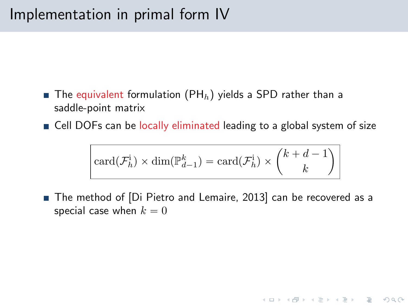# Implementation in primal form IV

- **The equivalent formulation [\(PH](#page-35-0)**<sub>h</sub>) yields a SPD rather than a saddle-point matrix
- Cell DOFs can be locally eliminated leading to a global system of size

$$
\boxed{\text{card}(\mathcal{F}_h^{\text{i}}) \times \text{dim}(\mathbb{P}_{d-1}^k) = \text{card}(\mathcal{F}_h^{\text{i}}) \times {k + d - 1 \choose k}}
$$

■ The method of [\[Di Pietro and Lemaire, 2013\]](#page-37-2) can be recovered as a special case when  $k = 0$ 

**KOD KARD KED KED E VOOR**